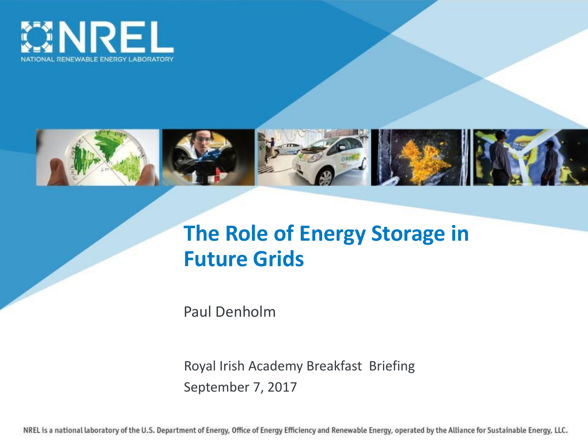



## **The Role of Energy Storage in Future Grids**

Paul Denholm

Royal Irish Academy Breakfast Briefing September 7, 2017

NREL is a national laboratory of the U.S. Department of Energy, Office of Energy Efficiency and Renewable Energy, operated by the Alliance for Sustainable Energy, LLC.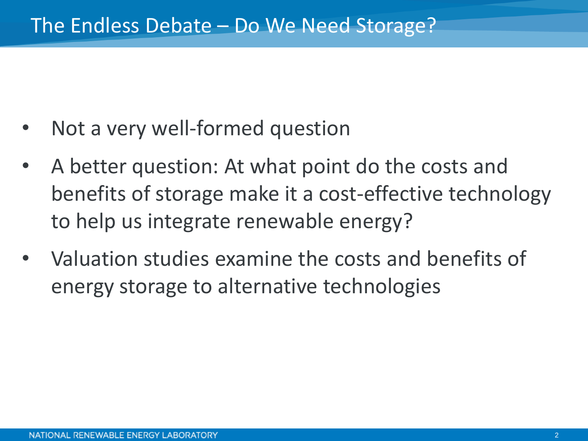- Not a very well-formed question
- A better question: At what point do the costs and benefits of storage make it a cost-effective technology to help us integrate renewable energy?
- Valuation studies examine the costs and benefits of energy storage to alternative technologies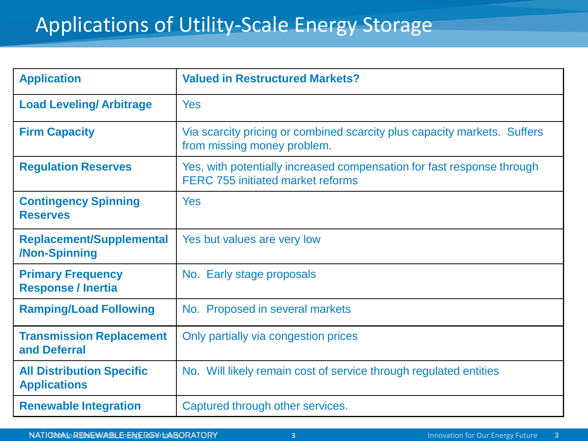## Applications of Utility-Scale Energy Storage

| <b>Application</b>                                      | <b>Valued in Restructured Markets?</b>                                                                             |
|---------------------------------------------------------|--------------------------------------------------------------------------------------------------------------------|
| <b>Load Leveling/Arbitrage</b>                          | <b>Yes</b>                                                                                                         |
| <b>Firm Capacity</b>                                    | Via scarcity pricing or combined scarcity plus capacity markets. Suffers<br>from missing money problem.            |
| <b>Regulation Reserves</b>                              | Yes, with potentially increased compensation for fast response through<br><b>FERC 755 initiated market reforms</b> |
| <b>Contingency Spinning</b><br><b>Reserves</b>          | Yes                                                                                                                |
| <b>Replacement/Supplemental</b><br>/Non-Spinning        | Yes but values are very low                                                                                        |
| <b>Primary Frequency</b><br><b>Response / Inertia</b>   | No. Early stage proposals                                                                                          |
| <b>Ramping/Load Following</b>                           | No. Proposed in several markets                                                                                    |
| <b>Transmission Replacement</b><br>and Deferral         | Only partially via congestion prices                                                                               |
| <b>All Distribution Specific</b><br><b>Applications</b> | No. Will likely remain cost of service through regulated entities                                                  |
| <b>Renewable Integration</b>                            | Captured through other services.                                                                                   |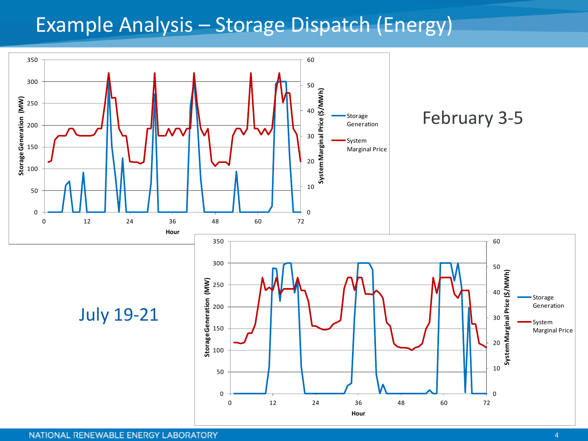### Example Analysis – Storage Dispatch (Energy)

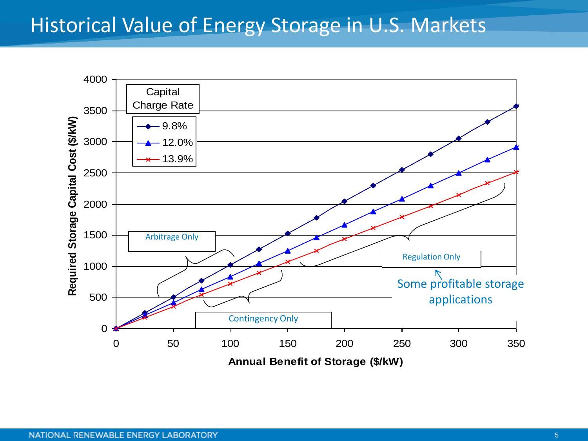#### Historical Value of Energy Storage in U.S. Markets



**Annual Benefit of Storage (\$/kW)**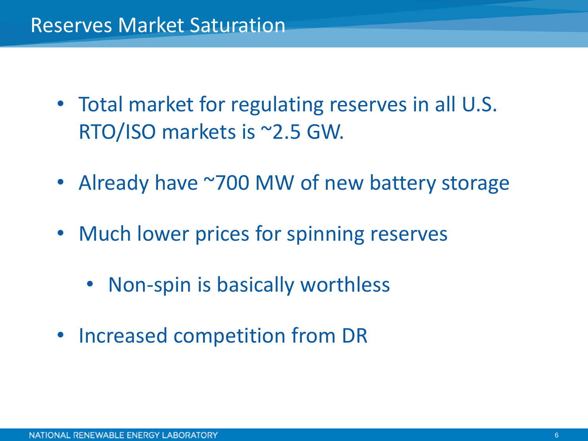- Total market for regulating reserves in all U.S. RTO/ISO markets is ~2.5 GW.
- Already have ~700 MW of new battery storage
- Much lower prices for spinning reserves
	- Non-spin is basically worthless
- Increased competition from DR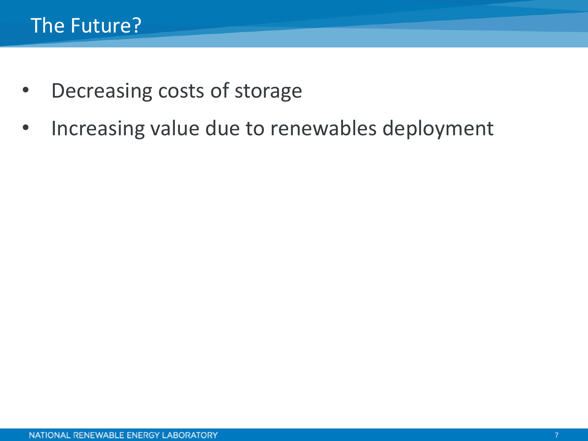- Decreasing costs of storage
- Increasing value due to renewables deployment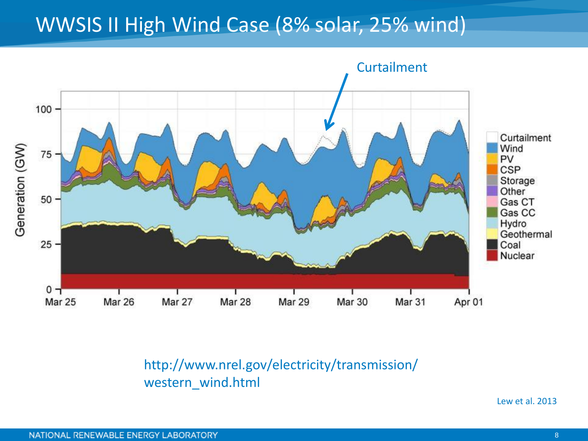### WWSIS II High Wind Case (8% solar, 25% wind)



http://www.nrel.gov/electricity/transmission/ western\_wind.html

Lew et al. 2013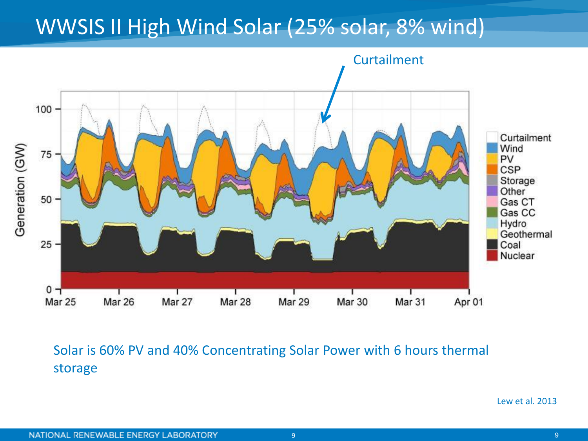## WWSIS II High Wind Solar (25% solar, 8% wind)



#### Solar is 60% PV and 40% Concentrating Solar Power with 6 hours thermal storage

Lew et al. 2013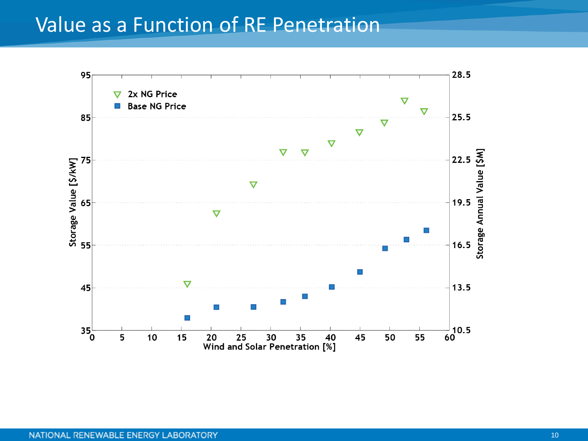#### Value as a Function of RE Penetration

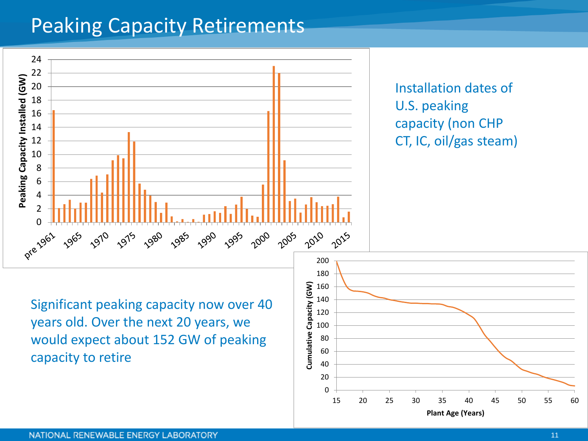### Peaking Capacity Retirements

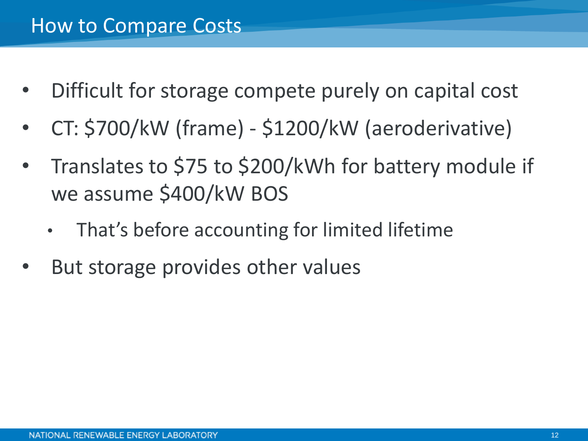- Difficult for storage compete purely on capital cost
- CT: \$700/kW (frame) \$1200/kW (aeroderivative)
- Translates to \$75 to \$200/kWh for battery module if we assume \$400/kW BOS
	- That's before accounting for limited lifetime
- But storage provides other values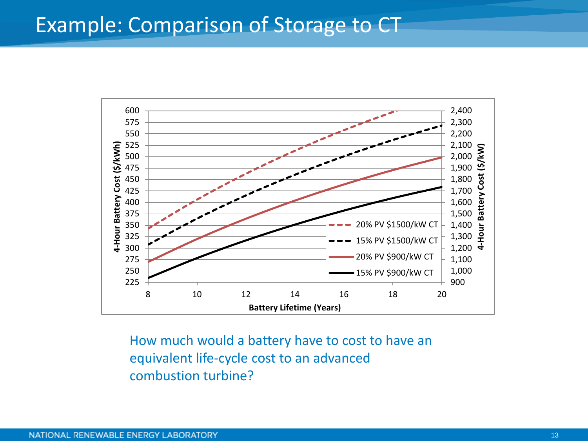#### Example: Comparison of Storage to CT



How much would a battery have to cost to have an equivalent life-cycle cost to an advanced combustion turbine?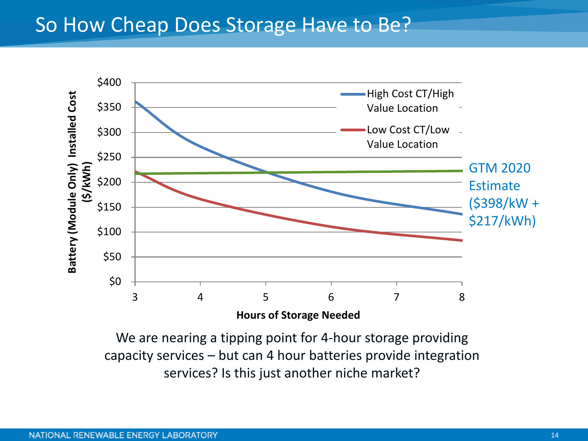#### So How Cheap Does Storage Have to Be?



We are nearing a tipping point for 4-hour storage providing capacity services – but can 4 hour batteries provide integration services? Is this just another niche market?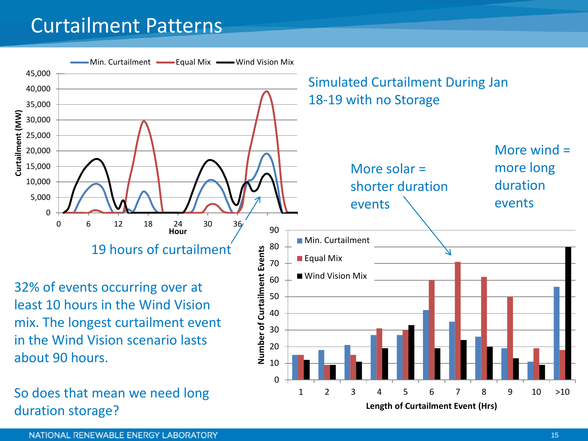### Curtailment Patterns



**Length of Curtailment Event (Hrs)**

NATIONAL RENEWABLE ENERGY LABORATORY

duration storage?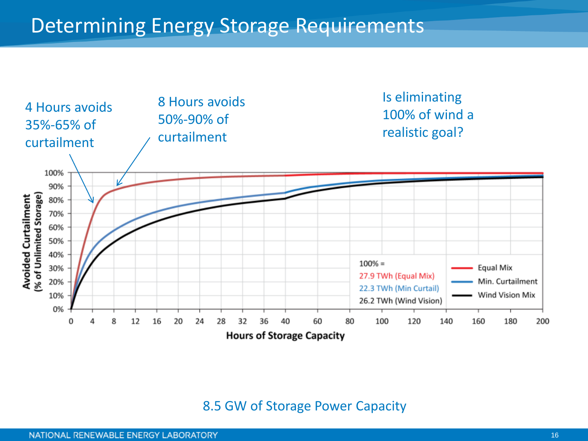

#### 8.5 GW of Storage Power Capacity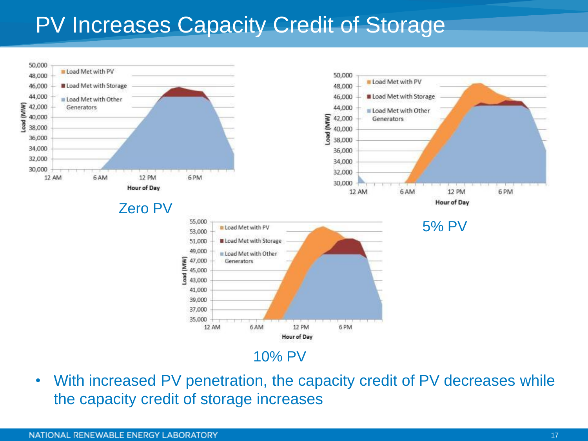# PV Increases Capacity Credit of Storage



• With increased PV penetration, the capacity credit of PV decreases while the capacity credit of storage increases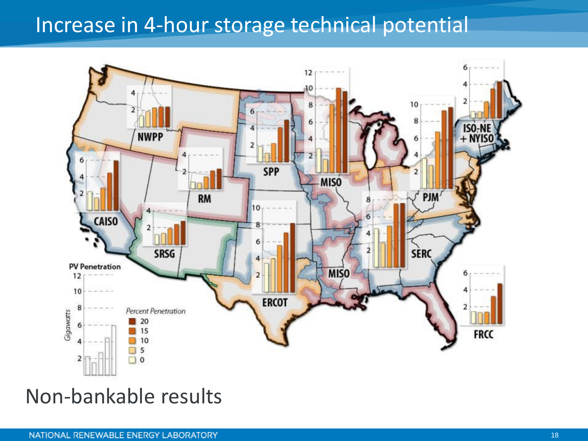### Increase in 4-hour storage technical potential



#### Non-bankable results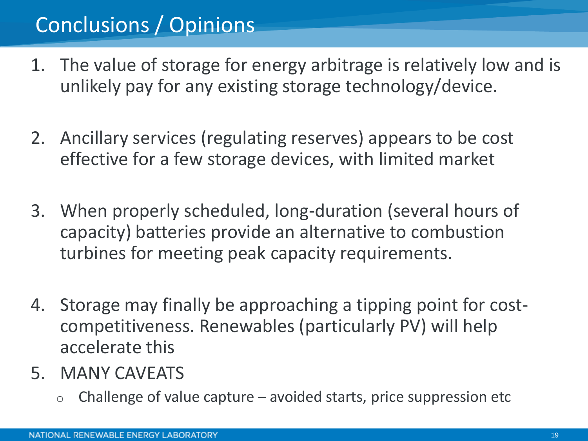# Conclusions / Opinions

- 1. The value of storage for energy arbitrage is relatively low and is unlikely pay for any existing storage technology/device.
- 2. Ancillary services (regulating reserves) appears to be cost effective for a few storage devices, with limited market
- 3. When properly scheduled, long-duration (several hours of capacity) batteries provide an alternative to combustion turbines for meeting peak capacity requirements.
- 4. Storage may finally be approaching a tipping point for costcompetitiveness. Renewables (particularly PV) will help accelerate this
- 5. MANY CAVEATS
	- $\circ$  Challenge of value capture avoided starts, price suppression etc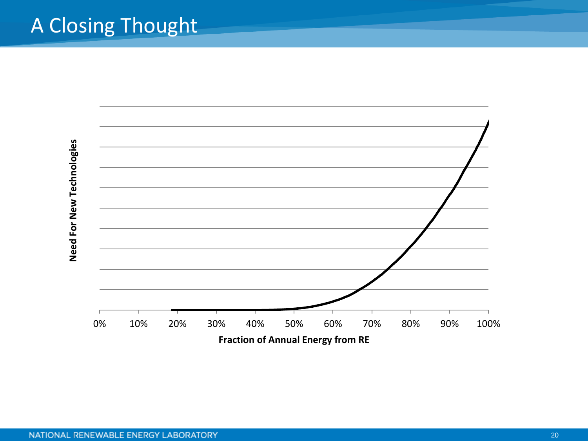## A Closing Thought

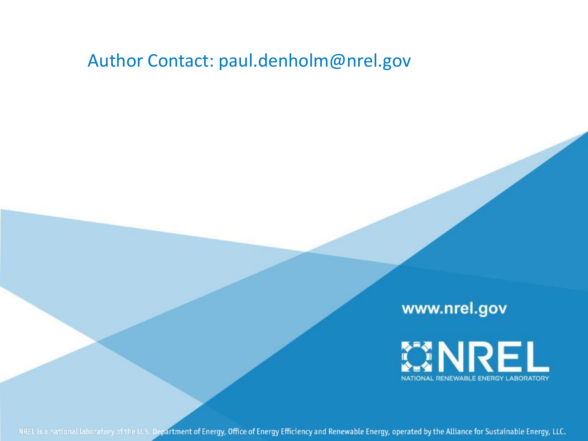#### Author Contact: paul.denholm@nrel.gov

www.nrel.gov



NREL is a national laboratory of the U.S. Department of Energy, Office of Energy Efficiency and Renewable Energy, operated by the Alliance for Sustainable Energy, LLC.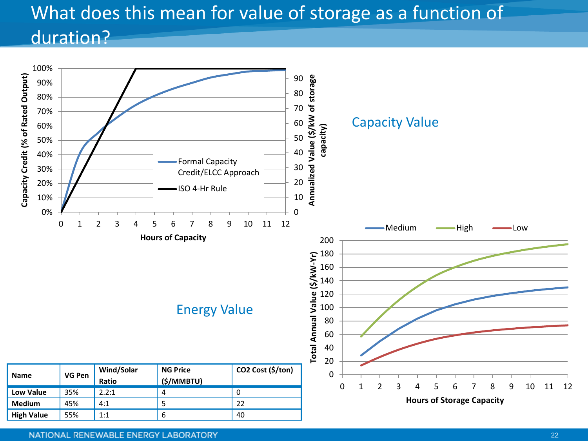#### What does this mean for value of storage as a function of duration?